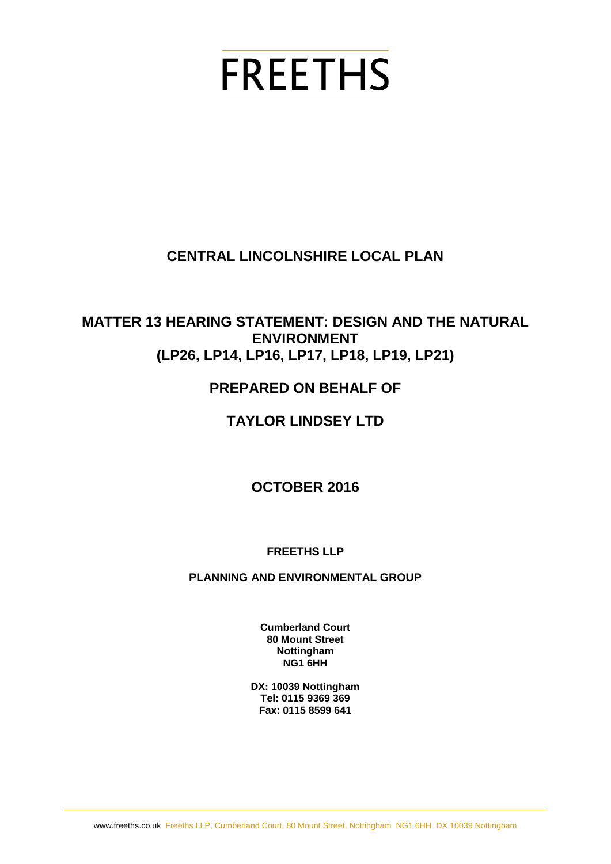# **FREETHS**

# **CENTRAL LINCOLNSHIRE LOCAL PLAN**

## **MATTER 13 HEARING STATEMENT: DESIGN AND THE NATURAL ENVIRONMENT (LP26, LP14, LP16, LP17, LP18, LP19, LP21)**

# **PREPARED ON BEHALF OF**

# **TAYLOR LINDSEY LTD**

## **OCTOBER 2016**

#### **FREETHS LLP**

#### **PLANNING AND ENVIRONMENTAL GROUP**

**Cumberland Court 80 Mount Street Nottingham NG1 6HH**

**DX: 10039 Nottingham Tel: 0115 9369 369 Fax: 0115 8599 641**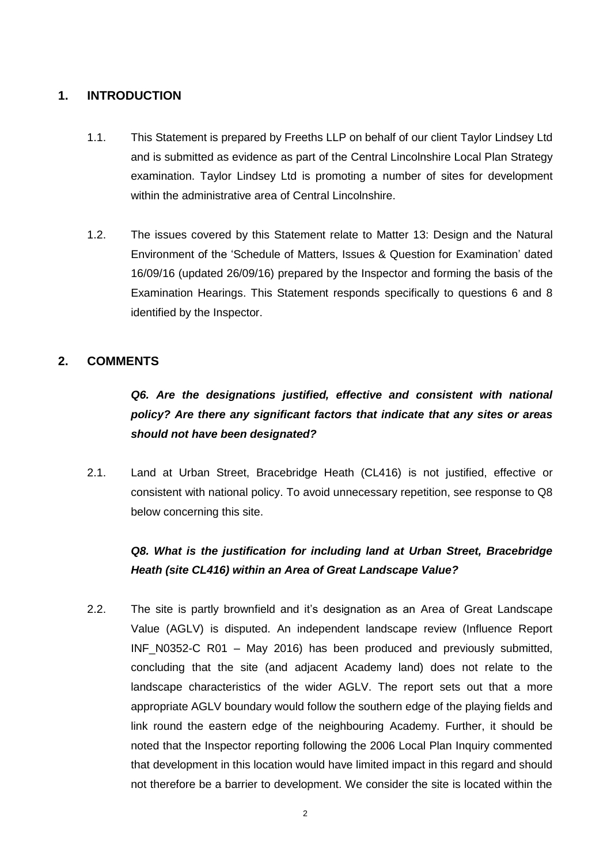#### **1. INTRODUCTION**

- 1.1. This Statement is prepared by Freeths LLP on behalf of our client Taylor Lindsey Ltd and is submitted as evidence as part of the Central Lincolnshire Local Plan Strategy examination. Taylor Lindsey Ltd is promoting a number of sites for development within the administrative area of Central Lincolnshire.
- 1.2. The issues covered by this Statement relate to Matter 13: Design and the Natural Environment of the 'Schedule of Matters, Issues & Question for Examination' dated 16/09/16 (updated 26/09/16) prepared by the Inspector and forming the basis of the Examination Hearings. This Statement responds specifically to questions 6 and 8 identified by the Inspector.

#### **2. COMMENTS**

## **Q6. Are the designations justified, effective and consistent with national** *policy? Are there any significant factors that indicate that any sites or areas should not have been designated?*

2.1. Land at Urban Street, Bracebridge Heath (CL416) is not justified, effective or consistent with national policy. To avoid unnecessary repetition, see response to Q8 below concerning this site.

### *Q8. What is the justification for including land at Urban Street, Bracebridge Heath (site CL416) within an Area of Great Landscape Value?*

2.2. The site is partly brownfield and it's designation as an Area of Great Landscape Value (AGLV) is disputed. An independent landscape review (Influence Report INF\_N0352-C R01 – May 2016) has been produced and previously submitted, concluding that the site (and adjacent Academy land) does not relate to the landscape characteristics of the wider AGLV. The report sets out that a more appropriate AGLV boundary would follow the southern edge of the playing fields and link round the eastern edge of the neighbouring Academy. Further, it should be noted that the Inspector reporting following the 2006 Local Plan Inquiry commented that development in this location would have limited impact in this regard and should not therefore be a barrier to development. We consider the site is located within the